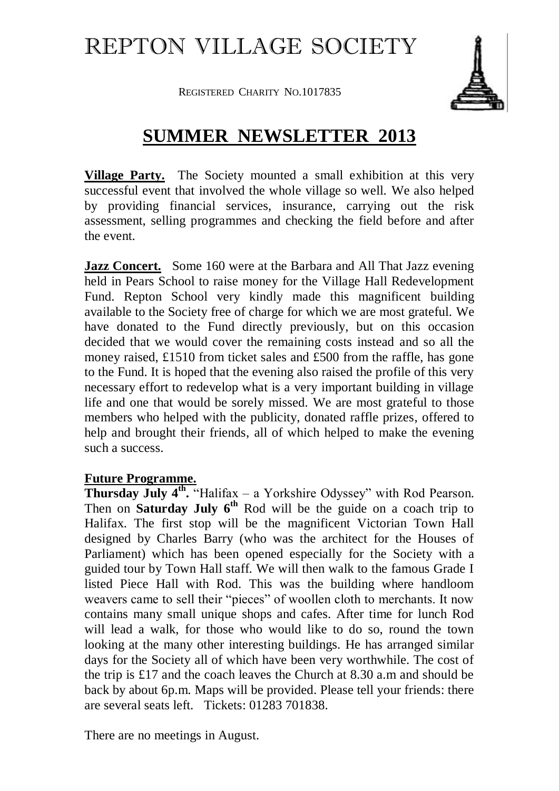## REPTON VILLAGE SOCIETY

REGISTERED CHARITY NO.1017835



## **SUMMER NEWSLETTER 2013**

**Village Party.** The Society mounted a small exhibition at this very successful event that involved the whole village so well. We also helped by providing financial services, insurance, carrying out the risk assessment, selling programmes and checking the field before and after the event.

**Jazz Concert.** Some 160 were at the Barbara and All That Jazz evening held in Pears School to raise money for the Village Hall Redevelopment Fund. Repton School very kindly made this magnificent building available to the Society free of charge for which we are most grateful. We have donated to the Fund directly previously, but on this occasion decided that we would cover the remaining costs instead and so all the money raised, £1510 from ticket sales and £500 from the raffle, has gone to the Fund. It is hoped that the evening also raised the profile of this very necessary effort to redevelop what is a very important building in village life and one that would be sorely missed. We are most grateful to those members who helped with the publicity, donated raffle prizes, offered to help and brought their friends, all of which helped to make the evening such a success.

## **Future Programme.**

**Thursday July 4<sup>th</sup>**. "Halifax – a Yorkshire Odyssey" with Rod Pearson. Then on **Saturday July 6th** Rod will be the guide on a coach trip to Halifax. The first stop will be the magnificent Victorian Town Hall designed by Charles Barry (who was the architect for the Houses of Parliament) which has been opened especially for the Society with a guided tour by Town Hall staff. We will then walk to the famous Grade I listed Piece Hall with Rod. This was the building where handloom weavers came to sell their "pieces" of woollen cloth to merchants. It now contains many small unique shops and cafes. After time for lunch Rod will lead a walk, for those who would like to do so, round the town looking at the many other interesting buildings. He has arranged similar days for the Society all of which have been very worthwhile. The cost of the trip is £17 and the coach leaves the Church at 8.30 a.m and should be back by about 6p.m. Maps will be provided. Please tell your friends: there are several seats left. Tickets: 01283 701838.

There are no meetings in August.